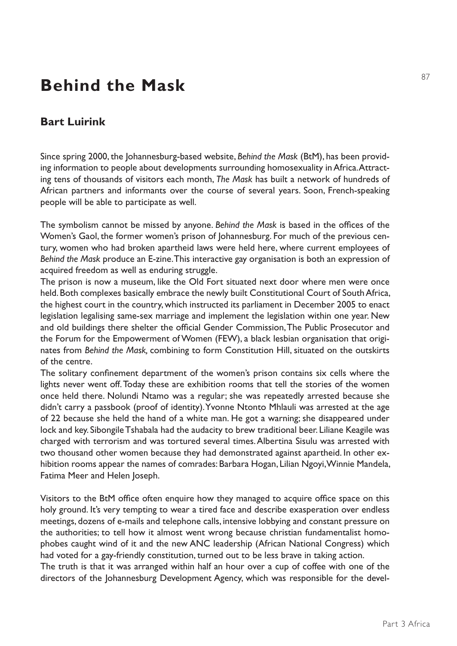## **Behind the Mask**

## **Bart Luirink**

Since spring 2000, the Johannesburg-based website, *Behind the Mask* (BtM), has been providing information to people about developments surrounding homosexuality in Africa. Attracting tens of thousands of visitors each month, *The Mask* has built a network of hundreds of African partners and informants over the course of several years. Soon, French-speaking people will be able to participate as well.

The symbolism cannot be missed by anyone. *Behind the Mask* is based in the offices of the Women's Gaol, the former women's prison of Johannesburg. For much of the previous century, women who had broken apartheid laws were held here, where current employees of *Behind the Mask* produce an E-zine. This interactive gay organisation is both an expression of acquired freedom as well as enduring struggle.

The prison is now a museum, like the Old Fort situated next door where men were once held. Both complexes basically embrace the newly built Constitutional Court of South Africa, the highest court in the country, which instructed its parliament in December 2005 to enact legislation legalising same-sex marriage and implement the legislation within one year. New and old buildings there shelter the official Gender Commission, The Public Prosecutor and the Forum for the Empowerment of Women (FEW), a black lesbian organisation that originates from *Behind the Mask,* combining to form Constitution Hill, situated on the outskirts of the centre.

The solitary confinement department of the women's prison contains six cells where the lights never went off. Today these are exhibition rooms that tell the stories of the women once held there. Nolundi Ntamo was a regular; she was repeatedly arrested because she didn't carry a passbook (proof of identity). Yvonne Ntonto Mhlauli was arrested at the age of 22 because she held the hand of a white man. He got a warning; she disappeared under lock and key. Sibongile Tshabala had the audacity to brew traditional beer. Liliane Keagile was charged with terrorism and was tortured several times. Albertina Sisulu was arrested with two thousand other women because they had demonstrated against apartheid. In other exhibition rooms appear the names of comrades: Barbara Hogan, Lilian Ngoyi, Winnie Mandela, Fatima Meer and Helen Joseph.

Visitors to the BtM office often enquire how they managed to acquire office space on this holy ground. It's very tempting to wear a tired face and describe exasperation over endless meetings, dozens of e-mails and telephone calls, intensive lobbying and constant pressure on the authorities; to tell how it almost went wrong because christian fundamentalist homophobes caught wind of it and the new ANC leadership (African National Congress) which had voted for a gay-friendly constitution, turned out to be less brave in taking action. The truth is that it was arranged within half an hour over a cup of coffee with one of the directors of the Johannesburg Development Agency, which was responsible for the devel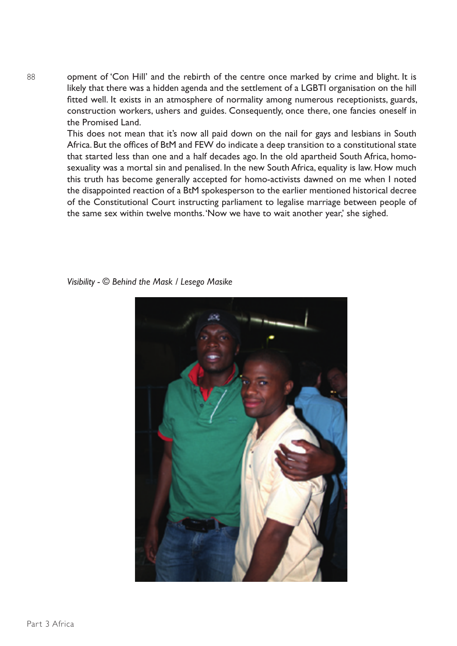opment of 'Con Hill' and the rebirth of the centre once marked by crime and blight. It is likely that there was a hidden agenda and the settlement of a LGBTI organisation on the hill fitted well. It exists in an atmosphere of normality among numerous receptionists, guards, construction workers, ushers and guides. Consequently, once there, one fancies oneself in the Promised Land.

This does not mean that it's now all paid down on the nail for gays and lesbians in South Africa. But the offices of BtM and FEW do indicate a deep transition to a constitutional state that started less than one and a half decades ago. In the old apartheid South Africa, homosexuality was a mortal sin and penalised. In the new South Africa, equality is law. How much this truth has become generally accepted for homo-activists dawned on me when I noted the disappointed reaction of a BtM spokesperson to the earlier mentioned historical decree of the Constitutional Court instructing parliament to legalise marriage between people of the same sex within twelve months. 'Now we have to wait another year,' she sighed.

*Visibility - © Behind the Mask / Lesego Masike*



Part 3 Africa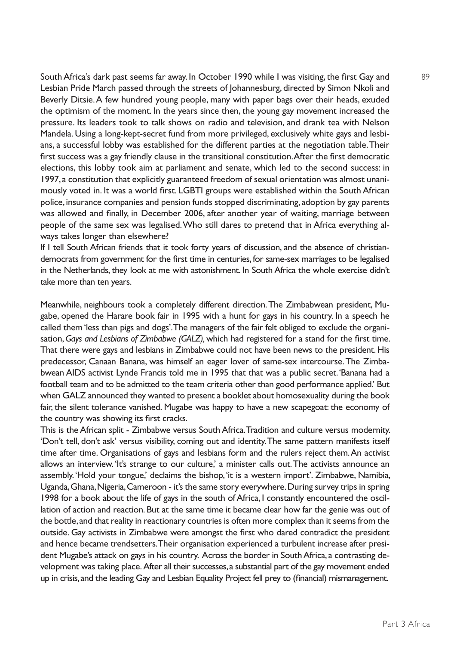South Africa's dark past seems far away. In October 1990 while I was visiting, the first Gay and Lesbian Pride March passed through the streets of Johannesburg, directed by Simon Nkoli and Beverly Ditsie. A few hundred young people, many with paper bags over their heads, exuded the optimism of the moment. In the years since then, the young gay movement increased the pressure. Its leaders took to talk shows on radio and television, and drank tea with Nelson Mandela. Using a long-kept-secret fund from more privileged, exclusively white gays and lesbians, a successful lobby was established for the different parties at the negotiation table. Their first success was a gay friendly clause in the transitional constitution. After the first democratic elections, this lobby took aim at parliament and senate, which led to the second success: in 1997, a constitution that explicitly guaranteed freedom of sexual orientation was almost unanimously voted in. It was a world first. LGBTI groups were established within the South African police, insurance companies and pension funds stopped discriminating, adoption by gay parents was allowed and finally, in December 2006, after another year of waiting, marriage between people of the same sex was legalised. Who still dares to pretend that in Africa everything always takes longer than elsewhere?

If I tell South African friends that it took forty years of discussion, and the absence of christiandemocrats from government for the first time in centuries, for same-sex marriages to be legalised in the Netherlands, they look at me with astonishment. In South Africa the whole exercise didn't take more than ten years.

Meanwhile, neighbours took a completely different direction. The Zimbabwean president, Mugabe, opened the Harare book fair in 1995 with a hunt for gays in his country. In a speech he called them 'less than pigs and dogs'. The managers of the fair felt obliged to exclude the organisation, *Gays and Lesbians of Zimbabwe (GALZ),* which had registered for a stand for the first time. That there were gays and lesbians in Zimbabwe could not have been news to the president. His predecessor, Canaan Banana, was himself an eager lover of same-sex intercourse. The Zimbabwean AIDS activist Lynde Francis told me in 1995 that that was a public secret. 'Banana had a football team and to be admitted to the team criteria other than good performance applied.' But when GALZ announced they wanted to present a booklet about homosexuality during the book fair, the silent tolerance vanished. Mugabe was happy to have a new scapegoat: the economy of the country was showing its first cracks.

This is the African split - Zimbabwe versus South Africa. Tradition and culture versus modernity. 'Don't tell, don't ask' versus visibility, coming out and identity. The same pattern manifests itself time after time. Organisations of gays and lesbians form and the rulers reject them. An activist allows an interview. 'It's strange to our culture,' a minister calls out. The activists announce an assembly. 'Hold your tongue,' declaims the bishop, 'it is a western import'. Zimbabwe, Namibia, Uganda, Ghana, Nigeria, Cameroon - it's the same story everywhere. During survey trips in spring 1998 for a book about the life of gays in the south of Africa, I constantly encountered the oscillation of action and reaction. But at the same time it became clear how far the genie was out of the bottle, and that reality in reactionary countries is often more complex than it seems from the outside. Gay activists in Zimbabwe were amongst the first who dared contradict the president and hence became trendsetters. Their organisation experienced a turbulent increase after president Mugabe's attack on gays in his country. Across the border in South Africa, a contrasting development was taking place. After all their successes, a substantial part of the gay movement ended up in crisis, and the leading Gay and Lesbian Equality Project fell prey to (financial) mismanagement.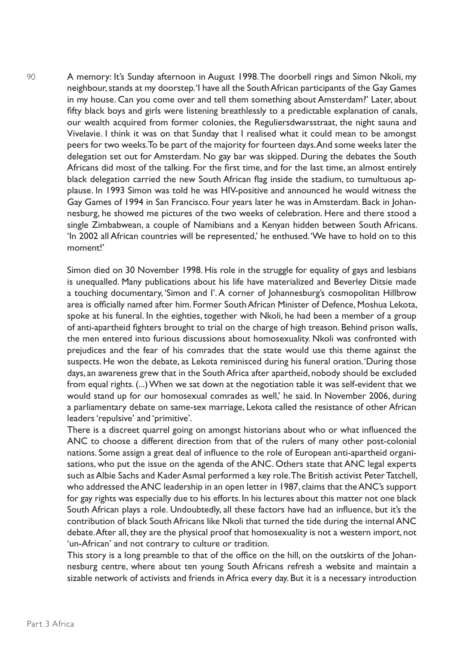A memory: It's Sunday afternoon in August 1998. The doorbell rings and Simon Nkoli, my neighbour, stands at my doorstep. 'I have all the South African participants of the Gay Games in my house. Can you come over and tell them something about Amsterdam?' Later, about fifty black boys and girls were listening breathlessly to a predictable explanation of canals, our wealth acquired from former colonies, the Reguliersdwarsstraat, the night sauna and Vivelavie. I think it was on that Sunday that I realised what it could mean to be amongst peers for two weeks. To be part of the majority for fourteen days. And some weeks later the delegation set out for Amsterdam. No gay bar was skipped. During the debates the South Africans did most of the talking. For the first time, and for the last time, an almost entirely black delegation carried the new South African flag inside the stadium, to tumultuous applause. In 1993 Simon was told he was HIV-positive and announced he would witness the Gay Games of 1994 in San Francisco. Four years later he was in Amsterdam. Back in Johannesburg, he showed me pictures of the two weeks of celebration. Here and there stood a single Zimbabwean, a couple of Namibians and a Kenyan hidden between South Africans. 'In 2002 all African countries will be represented,' he enthused. 'We have to hold on to this moment!'

Simon died on 30 November 1998. His role in the struggle for equality of gays and lesbians is unequalled. Many publications about his life have materialized and Beverley Ditsie made a touching documentary, 'Simon and I'. A corner of Johannesburg's cosmopolitan Hillbrow area is officially named after him. Former South African Minister of Defence, Moshua Lekota, spoke at his funeral. In the eighties, together with Nkoli, he had been a member of a group of anti-apartheid fighters brought to trial on the charge of high treason. Behind prison walls, the men entered into furious discussions about homosexuality. Nkoli was confronted with prejudices and the fear of his comrades that the state would use this theme against the suspects. He won the debate, as Lekota reminisced during his funeral oration. 'During those days, an awareness grew that in the South Africa after apartheid, nobody should be excluded from equal rights. (...) When we sat down at the negotiation table it was self-evident that we would stand up for our homosexual comrades as well,' he said. In November 2006, during a parliamentary debate on same-sex marriage, Lekota called the resistance of other African leaders 'repulsive' and 'primitive'.

There is a discreet quarrel going on amongst historians about who or what influenced the ANC to choose a different direction from that of the rulers of many other post-colonial nations. Some assign a great deal of influence to the role of European anti-apartheid organisations, who put the issue on the agenda of the ANC. Others state that ANC legal experts such as Albie Sachs and Kader Asmal performed a key role. The British activist Peter Tatchell, who addressed the ANC leadership in an open letter in 1987, claims that the ANC's support for gay rights was especially due to his efforts. In his lectures about this matter not one black South African plays a role. Undoubtedly, all these factors have had an influence, but it's the contribution of black South Africans like Nkoli that turned the tide during the internal ANC debate. After all, they are the physical proof that homosexuality is not a western import, not 'un-African' and not contrary to culture or tradition.

This story is a long preamble to that of the office on the hill, on the outskirts of the Johannesburg centre, where about ten young South Africans refresh a website and maintain a sizable network of activists and friends in Africa every day. But it is a necessary introduction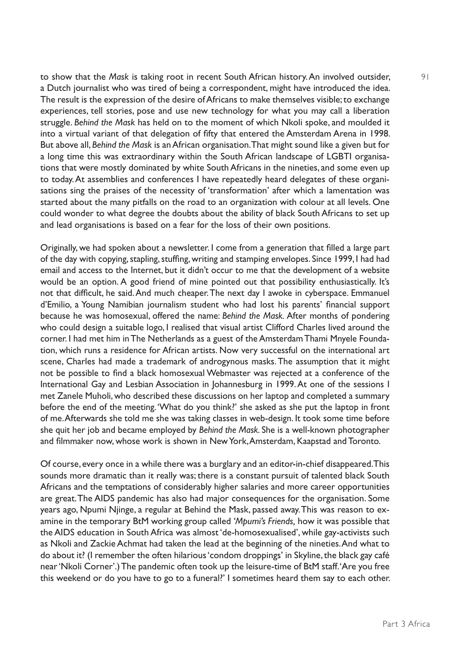to show that the *Mask* is taking root in recent South African history. An involved outsider, a Dutch journalist who was tired of being a correspondent, might have introduced the idea. The result is the expression of the desire of Africans to make themselves visible; to exchange experiences, tell stories, pose and use new technology for what you may call a liberation struggle. *Behind the Mask* has held on to the moment of which Nkoli spoke, and moulded it into a virtual variant of that delegation of fifty that entered the Amsterdam Arena in 1998. But above all, *Behind the Mask* is an African organisation. That might sound like a given but for a long time this was extraordinary within the South African landscape of LGBTI organisations that were mostly dominated by white South Africans in the nineties, and some even up to today. At assemblies and conferences I have repeatedly heard delegates of these organisations sing the praises of the necessity of 'transformation' after which a lamentation was started about the many pitfalls on the road to an organization with colour at all levels. One could wonder to what degree the doubts about the ability of black South Africans to set up and lead organisations is based on a fear for the loss of their own positions.

Originally, we had spoken about a newsletter. I come from a generation that filled a large part of the day with copying, stapling, stuffing, writing and stamping envelopes. Since 1999, I had had email and access to the Internet, but it didn't occur to me that the development of a website would be an option. A good friend of mine pointed out that possibility enthusiastically. It's not that difficult, he said. And much cheaper. The next day I awoke in cyberspace. Emmanuel d'Emilio, a Young Namibian journalism student who had lost his parents' financial support because he was homosexual, offered the name: *Behind the Mask.* After months of pondering who could design a suitable logo, I realised that visual artist Clifford Charles lived around the corner. I had met him in The Netherlands as a guest of the Amsterdam Thami Mnyele Foundation, which runs a residence for African artists. Now very successful on the international art scene, Charles had made a trademark of androgynous masks. The assumption that it might not be possible to find a black homosexual Webmaster was rejected at a conference of the International Gay and Lesbian Association in Johannesburg in 1999. At one of the sessions I met Zanele Muholi, who described these discussions on her laptop and completed a summary before the end of the meeting. 'What do you think?' she asked as she put the laptop in front of me. Afterwards she told me she was taking classes in web-design. It took some time before she quit her job and became employed by *Behind the Mask.* She is a well-known photographer and filmmaker now, whose work is shown in New York, Amsterdam, Kaapstad and Toronto.

Of course, every once in a while there was a burglary and an editor-in-chief disappeared. This sounds more dramatic than it really was; there is a constant pursuit of talented black South Africans and the temptations of considerably higher salaries and more career opportunities are great. The AIDS pandemic has also had major consequences for the organisation. Some years ago, Npumi Njinge, a regular at Behind the Mask, passed away. This was reason to examine in the temporary BtM working group called *'Mpumi's Friends,* how it was possible that the AIDS education in South Africa was almost 'de-homosexualised', while gay-activists such as Nkoli and Zackie Achmat had taken the lead at the beginning of the nineties. And what to do about it? (I remember the often hilarious 'condom droppings' in Skyline, the black gay café near 'Nkoli Corner'.) The pandemic often took up the leisure-time of BtM staff. 'Are you free this weekend or do you have to go to a funeral?' I sometimes heard them say to each other.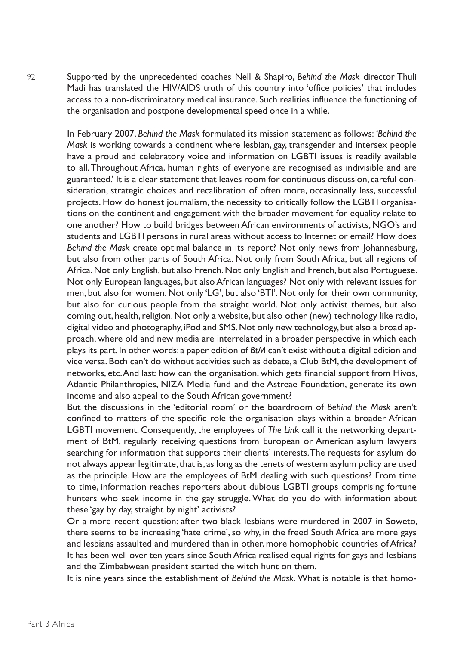Supported by the unprecedented coaches Nell & Shapiro, *Behind the Mask* director Thuli Madi has translated the HIV/AIDS truth of this country into 'office policies' that includes access to a non-discriminatory medical insurance. Such realities influence the functioning of the organisation and postpone developmental speed once in a while.

In February 2007, *Behind the Mask* formulated its mission statement as follows: *'Behind the Mask* is working towards a continent where lesbian, gay, transgender and intersex people have a proud and celebratory voice and information on LGBTI issues is readily available to all. Throughout Africa, human rights of everyone are recognised as indivisible and are guaranteed.' It is a clear statement that leaves room for continuous discussion, careful consideration, strategic choices and recalibration of often more, occasionally less, successful projects. How do honest journalism, the necessity to critically follow the LGBTI organisations on the continent and engagement with the broader movement for equality relate to one another? How to build bridges between African environments of activists, NGO's and students and LGBTI persons in rural areas without access to Internet or email? How does *Behind the Mask* create optimal balance in its report? Not only news from Johannesburg, but also from other parts of South Africa. Not only from South Africa, but all regions of Africa. Not only English, but also French. Not only English and French, but also Portuguese. Not only European languages, but also African languages? Not only with relevant issues for men, but also for women. Not only 'LG', but also 'BTI'. Not only for their own community, but also for curious people from the straight world. Not only activist themes, but also coming out, health, religion. Not only a website, but also other (new) technology like radio, digital video and photography, iPod and SMS. Not only new technology, but also a broad approach, where old and new media are interrelated in a broader perspective in which each plays its part. In other words: a paper edition of *BtM* can't exist without a digital edition and vice versa. Both can't do without activities such as debate, a Club BtM, the development of networks, etc. And last: how can the organisation, which gets financial support from Hivos, Atlantic Philanthropies, NIZA Media fund and the Astreae Foundation, generate its own income and also appeal to the South African government?

But the discussions in the 'editorial room' or the boardroom of *Behind the Mask* aren't confined to matters of the specific role the organisation plays within a broader African LGBTI movement. Consequently, the employees of *The Link* call it the networking department of BtM, regularly receiving questions from European or American asylum lawyers searching for information that supports their clients' interests. The requests for asylum do not always appear legitimate, that is, as long as the tenets of western asylum policy are used as the principle. How are the employees of BtM dealing with such questions? From time to time, information reaches reporters about dubious LGBTI groups comprising fortune hunters who seek income in the gay struggle. What do you do with information about these 'gay by day, straight by night' activists?

Or a more recent question: after two black lesbians were murdered in 2007 in Soweto, there seems to be increasing 'hate crime', so why, in the freed South Africa are more gays and lesbians assaulted and murdered than in other, more homophobic countries of Africa? It has been well over ten years since South Africa realised equal rights for gays and lesbians and the Zimbabwean president started the witch hunt on them.

It is nine years since the establishment of *Behind the Mask.* What is notable is that homo-